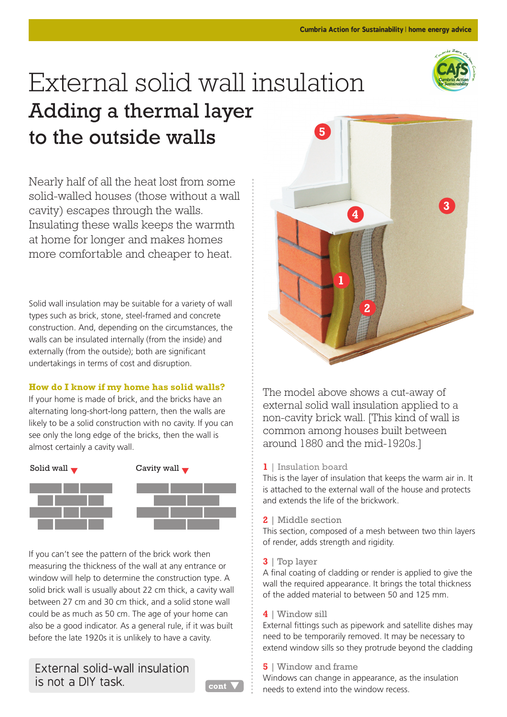

# **5** External solid wall insulation Adding a thermal layer to the outside walls

Nearly half of all the heat lost from some solid-walled houses (those without a wall cavity) escapes through the walls. Insulating these walls keeps the warmth at home for longer and makes homes more comfortable and cheaper to heat.

Solid wall insulation may be suitable for a variety of wall types such as brick, stone, steel-framed and concrete construction. And, depending on the circumstances, the walls can be insulated internally (from the inside) and externally (from the outside); both are significant undertakings in terms of cost and disruption.

# **How do I know if my home has solid walls?**

If your home is made of brick, and the bricks have an alternating long-short-long pattern, then the walls are likely to be a solid construction with no cavity. If you can see only the long edge of the bricks, then the wall is almost certainly a cavity wall.



If you can't see the pattern of the brick work then measuring the thickness of the wall at any entrance or window will help to determine the construction type. A solid brick wall is usually about 22 cm thick, a cavity wall between 27 cm and 30 cm thick, and a solid stone wall could be as much as 50 cm. The age of your home can also be a good indicator. As a general rule, if it was built before the late 1920s it is unlikely to have a cavity.

External solid-wall insulation is not a DIY task.





The model above shows a cut-away of external solid wall insulation applied to a non-cavity brick wall. [This kind of wall is common among houses built between around 1880 and the mid-1920s.]

# **1** | Insulation board

This is the layer of insulation that keeps the warm air in. It is attached to the external wall of the house and protects and extends the life of the brickwork.

## **2** | Middle section

This section, composed of a mesh between two thin layers of render, adds strength and rigidity.

**3** | Top layer

A final coating of cladding or render is applied to give the wall the required appearance. It brings the total thickness of the added material to between 50 and 125 mm.

## **4** | Window sill

External fittings such as pipework and satellite dishes may need to be temporarily removed. It may be necessary to extend window sills so they protrude beyond the cladding

# **5** | Window and frame

Windows can change in appearance, as the insulation needs to extend into the window recess.